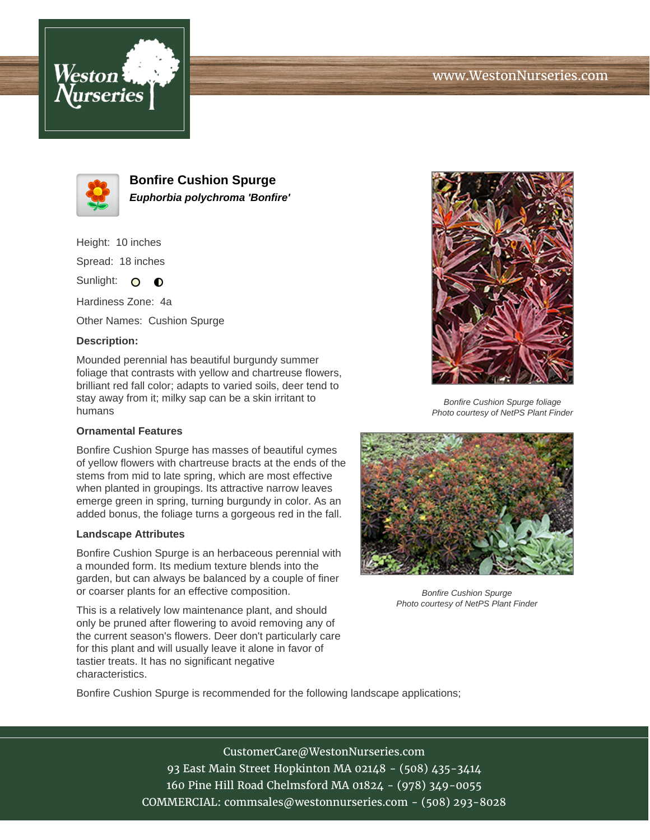# www.WestonNurseries.com





**Bonfire Cushion Spurge Euphorbia polychroma 'Bonfire'**

Height: 10 inches Spread: 18 inches

Sunlight: O **O** 

Hardiness Zone: 4a

Other Names: Cushion Spurge

### **Description:**

Mounded perennial has beautiful burgundy summer foliage that contrasts with yellow and chartreuse flowers, brilliant red fall color; adapts to varied soils, deer tend to stay away from it; milky sap can be a skin irritant to humans

### **Ornamental Features**

Bonfire Cushion Spurge has masses of beautiful cymes of yellow flowers with chartreuse bracts at the ends of the stems from mid to late spring, which are most effective when planted in groupings. Its attractive narrow leaves emerge green in spring, turning burgundy in color. As an added bonus, the foliage turns a gorgeous red in the fall.

#### **Landscape Attributes**

Bonfire Cushion Spurge is an herbaceous perennial with a mounded form. Its medium texture blends into the garden, but can always be balanced by a couple of finer or coarser plants for an effective composition.

This is a relatively low maintenance plant, and should only be pruned after flowering to avoid removing any of the current season's flowers. Deer don't particularly care for this plant and will usually leave it alone in favor of tastier treats. It has no significant negative characteristics.



Bonfire Cushion Spurge foliage Photo courtesy of NetPS Plant Finder



Bonfire Cushion Spurge Photo courtesy of NetPS Plant Finder

Bonfire Cushion Spurge is recommended for the following landscape applications;

CustomerCare@WestonNurseries.com 93 East Main Street Hopkinton MA 02148 - (508) 435-3414 160 Pine Hill Road Chelmsford MA 01824 - (978) 349-0055 COMMERCIAL: commsales@westonnurseries.com - (508) 293-8028